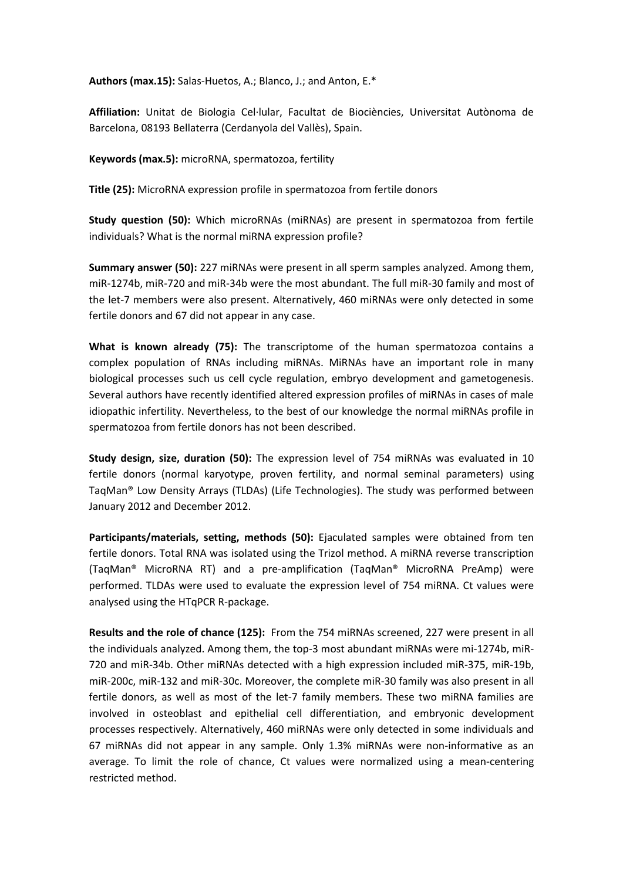**Authors (max.15):** Salas-Huetos, A.; Blanco, J.; and Anton, E.\*

**Affiliation:** Unitat de Biologia Cel·lular, Facultat de Biociències, Universitat Autònoma de Barcelona, 08193 Bellaterra (Cerdanyola del Vallès), Spain.

**Keywords (max.5):** microRNA, spermatozoa, fertility

**Title (25):** MicroRNA expression profile in spermatozoa from fertile donors

**Study question (50):** Which microRNAs (miRNAs) are present in spermatozoa from fertile individuals? What is the normal miRNA expression profile?

**Summary answer (50):** 227 miRNAs were present in all sperm samples analyzed. Among them, miR-1274b, miR-720 and miR-34b were the most abundant. The full miR-30 family and most of the let-7 members were also present. Alternatively, 460 miRNAs were only detected in some fertile donors and 67 did not appear in any case.

**What is known already (75):** The transcriptome of the human spermatozoa contains a complex population of RNAs including miRNAs. MiRNAs have an important role in many biological processes such us cell cycle regulation, embryo development and gametogenesis. Several authors have recently identified altered expression profiles of miRNAs in cases of male idiopathic infertility. Nevertheless, to the best of our knowledge the normal miRNAs profile in spermatozoa from fertile donors has not been described.

**Study design, size, duration (50):** The expression level of 754 miRNAs was evaluated in 10 fertile donors (normal karyotype, proven fertility, and normal seminal parameters) using TaqMan® Low Density Arrays (TLDAs) (Life Technologies). The study was performed between January 2012 and December 2012.

**Participants/materials, setting, methods (50):** Ejaculated samples were obtained from ten fertile donors. Total RNA was isolated using the Trizol method. A miRNA reverse transcription (TaqMan® MicroRNA RT) and a pre-amplification (TaqMan® MicroRNA PreAmp) were performed. TLDAs were used to evaluate the expression level of 754 miRNA. Ct values were analysed using the HTqPCR R-package.

**Results and the role of chance (125):** From the 754 miRNAs screened, 227 were present in all the individuals analyzed. Among them, the top-3 most abundant miRNAs were mi-1274b, miR-720 and miR-34b. Other miRNAs detected with a high expression included miR-375, miR-19b, miR-200c, miR-132 and miR-30c. Moreover, the complete miR-30 family was also present in all fertile donors, as well as most of the let-7 family members. These two miRNA families are involved in osteoblast and epithelial cell differentiation, and embryonic development processes respectively. Alternatively, 460 miRNAs were only detected in some individuals and 67 miRNAs did not appear in any sample. Only 1.3% miRNAs were non-informative as an average. To limit the role of chance, Ct values were normalized using a mean-centering restricted method.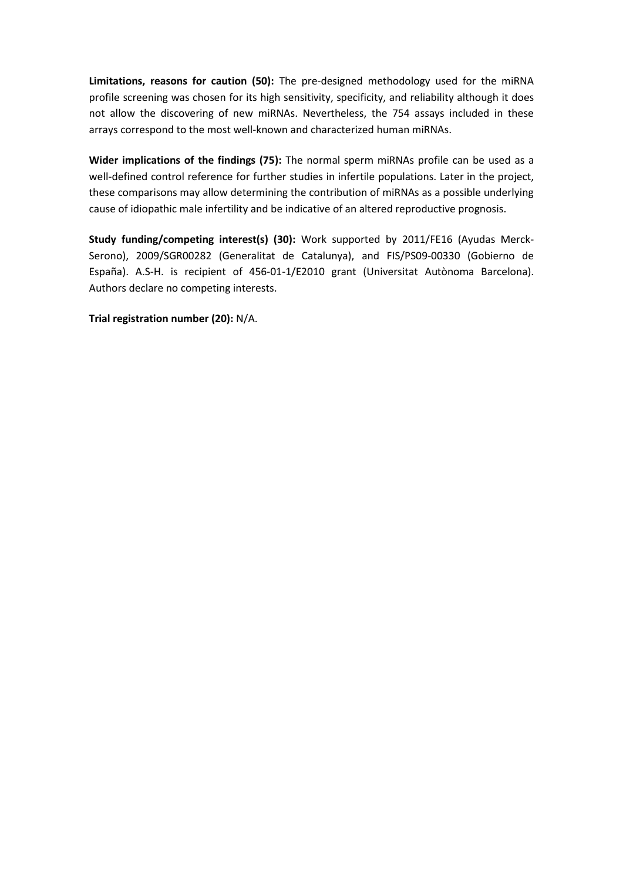**Limitations, reasons for caution (50):** The pre-designed methodology used for the miRNA profile screening was chosen for its high sensitivity, specificity, and reliability although it does not allow the discovering of new miRNAs. Nevertheless, the 754 assays included in these arrays correspond to the most well-known and characterized human miRNAs.

**Wider implications of the findings (75):** The normal sperm miRNAs profile can be used as a well-defined control reference for further studies in infertile populations. Later in the project, these comparisons may allow determining the contribution of miRNAs as a possible underlying cause of idiopathic male infertility and be indicative of an altered reproductive prognosis.

**Study funding/competing interest(s) (30):** Work supported by 2011/FE16 (Ayudas Merck-Serono), 2009/SGR00282 (Generalitat de Catalunya), and FIS/PS09-00330 (Gobierno de España). A.S-H. is recipient of 456-01-1/E2010 grant (Universitat Autònoma Barcelona). Authors declare no competing interests.

**Trial registration number (20):** N/A.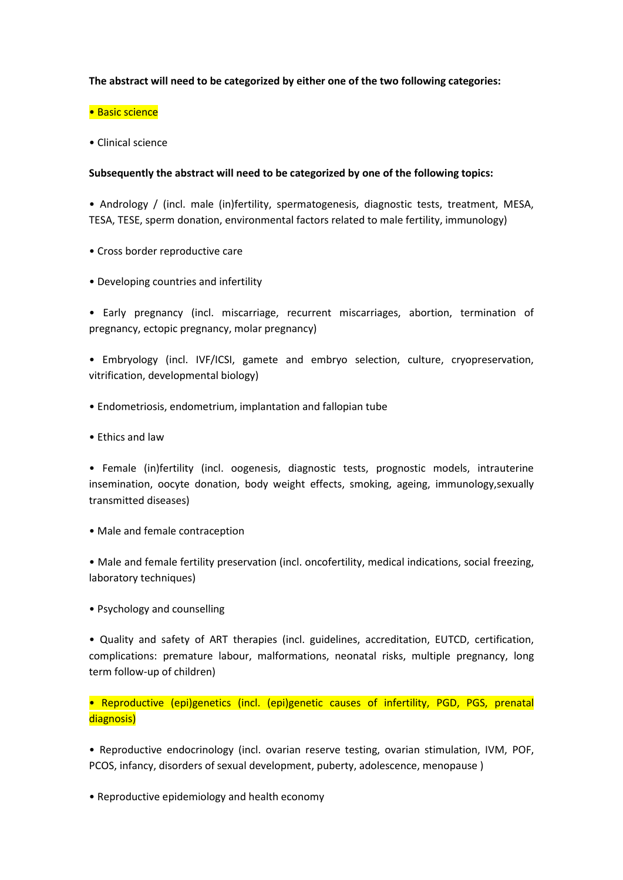## **The abstract will need to be categorized by either one of the two following categories:**

## • Basic science

• Clinical science

## **Subsequently the abstract will need to be categorized by one of the following topics:**

• Andrology / (incl. male (in)fertility, spermatogenesis, diagnostic tests, treatment, MESA, TESA, TESE, sperm donation, environmental factors related to male fertility, immunology)

- Cross border reproductive care
- Developing countries and infertility

• Early pregnancy (incl. miscarriage, recurrent miscarriages, abortion, termination of pregnancy, ectopic pregnancy, molar pregnancy)

• Embryology (incl. IVF/ICSI, gamete and embryo selection, culture, cryopreservation, vitrification, developmental biology)

- Endometriosis, endometrium, implantation and fallopian tube
- Ethics and law

• Female (in)fertility (incl. oogenesis, diagnostic tests, prognostic models, intrauterine insemination, oocyte donation, body weight effects, smoking, ageing, immunology,sexually transmitted diseases)

• Male and female contraception

• Male and female fertility preservation (incl. oncofertility, medical indications, social freezing, laboratory techniques)

• Psychology and counselling

• Quality and safety of ART therapies (incl. guidelines, accreditation, EUTCD, certification, complications: premature labour, malformations, neonatal risks, multiple pregnancy, long term follow-up of children)

• Reproductive (epi)genetics (incl. (epi)genetic causes of infertility, PGD, PGS, prenatal diagnosis)

• Reproductive endocrinology (incl. ovarian reserve testing, ovarian stimulation, IVM, POF, PCOS, infancy, disorders of sexual development, puberty, adolescence, menopause )

• Reproductive epidemiology and health economy